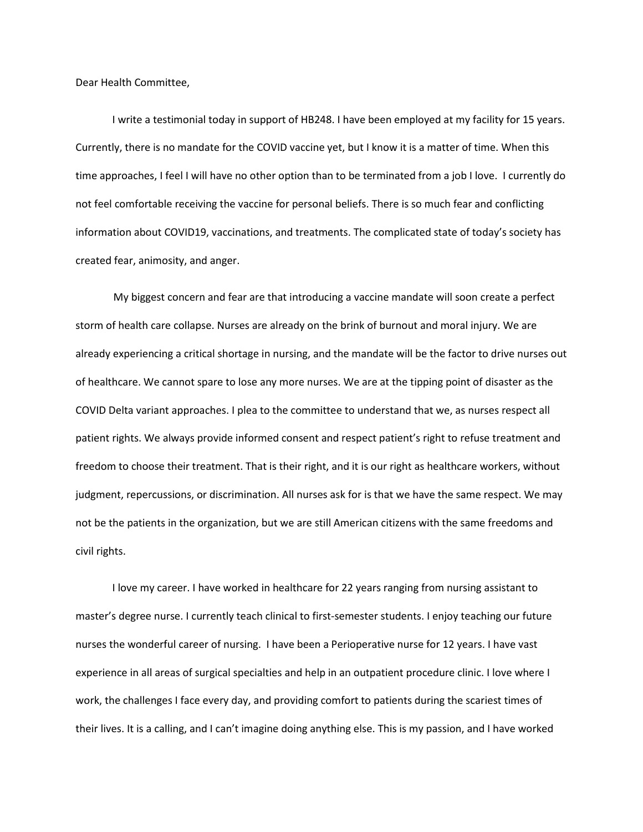Dear Health Committee,

 I write a testimonial today in support of HB248. I have been employed at my facility for 15 years. Currently, there is no mandate for the COVID vaccine yet, but I know it is a matter of time. When this time approaches, I feel I will have no other option than to be terminated from a job I love. I currently do not feel comfortable receiving the vaccine for personal beliefs. There is so much fear and conflicting information about COVID19, vaccinations, and treatments. The complicated state of today's society has created fear, animosity, and anger.

My biggest concern and fear are that introducing a vaccine mandate will soon create a perfect storm of health care collapse. Nurses are already on the brink of burnout and moral injury. We are already experiencing a critical shortage in nursing, and the mandate will be the factor to drive nurses out of healthcare. We cannot spare to lose any more nurses. We are at the tipping point of disaster as the COVID Delta variant approaches. I plea to the committee to understand that we, as nurses respect all patient rights. We always provide informed consent and respect patient's right to refuse treatment and freedom to choose their treatment. That is their right, and it is our right as healthcare workers, without judgment, repercussions, or discrimination. All nurses ask for is that we have the same respect. We may not be the patients in the organization, but we are still American citizens with the same freedoms and civil rights.

 I love my career. I have worked in healthcare for 22 years ranging from nursing assistant to master's degree nurse. I currently teach clinical to first-semester students. I enjoy teaching our future nurses the wonderful career of nursing. I have been a Perioperative nurse for 12 years. I have vast experience in all areas of surgical specialties and help in an outpatient procedure clinic. I love where I work, the challenges I face every day, and providing comfort to patients during the scariest times of their lives. It is a calling, and I can't imagine doing anything else. This is my passion, and I have worked